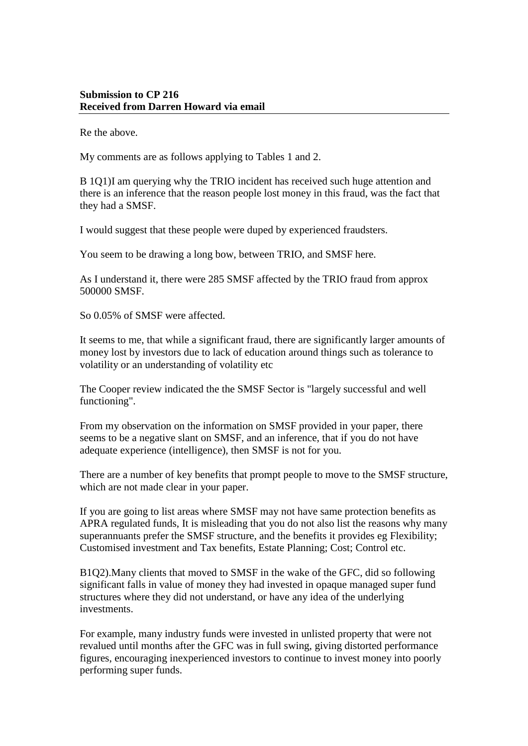## **Submission to CP 216 Received from Darren Howard via email**

Re the above.

My comments are as follows applying to Tables 1 and 2.

B 1Q1)I am querying why the TRIO incident has received such huge attention and there is an inference that the reason people lost money in this fraud, was the fact that they had a SMSF.

I would suggest that these people were duped by experienced fraudsters.

You seem to be drawing a long bow, between TRIO, and SMSF here.

As I understand it, there were 285 SMSF affected by the TRIO fraud from approx 500000 SMSF.

So 0.05% of SMSF were affected.

It seems to me, that while a significant fraud, there are significantly larger amounts of money lost by investors due to lack of education around things such as tolerance to volatility or an understanding of volatility etc

The Cooper review indicated the the SMSF Sector is "largely successful and well functioning".

From my observation on the information on SMSF provided in your paper, there seems to be a negative slant on SMSF, and an inference, that if you do not have adequate experience (intelligence), then SMSF is not for you.

There are a number of key benefits that prompt people to move to the SMSF structure, which are not made clear in your paper.

If you are going to list areas where SMSF may not have same protection benefits as APRA regulated funds, It is misleading that you do not also list the reasons why many superannuants prefer the SMSF structure, and the benefits it provides eg Flexibility; Customised investment and Tax benefits, Estate Planning; Cost; Control etc.

B1Q2).Many clients that moved to SMSF in the wake of the GFC, did so following significant falls in value of money they had invested in opaque managed super fund structures where they did not understand, or have any idea of the underlying investments.

For example, many industry funds were invested in unlisted property that were not revalued until months after the GFC was in full swing, giving distorted performance figures, encouraging inexperienced investors to continue to invest money into poorly performing super funds.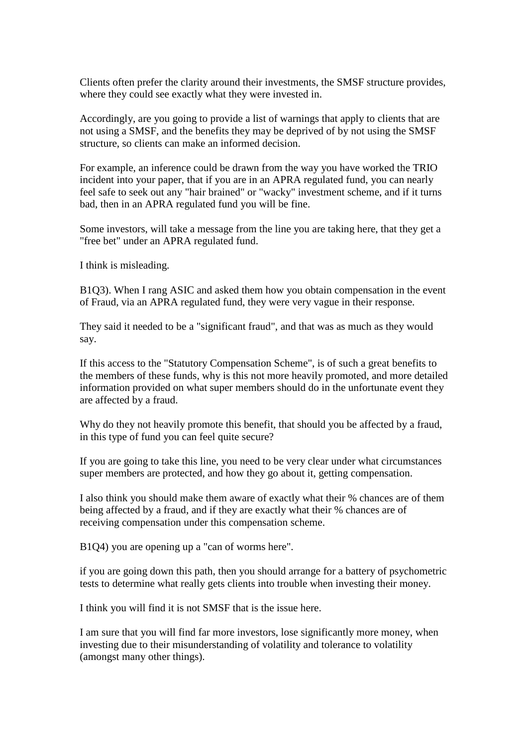Clients often prefer the clarity around their investments, the SMSF structure provides, where they could see exactly what they were invested in.

Accordingly, are you going to provide a list of warnings that apply to clients that are not using a SMSF, and the benefits they may be deprived of by not using the SMSF structure, so clients can make an informed decision.

For example, an inference could be drawn from the way you have worked the TRIO incident into your paper, that if you are in an APRA regulated fund, you can nearly feel safe to seek out any "hair brained" or "wacky" investment scheme, and if it turns bad, then in an APRA regulated fund you will be fine.

Some investors, will take a message from the line you are taking here, that they get a "free bet" under an APRA regulated fund.

I think is misleading.

B1Q3). When I rang ASIC and asked them how you obtain compensation in the event of Fraud, via an APRA regulated fund, they were very vague in their response.

They said it needed to be a "significant fraud", and that was as much as they would say.

If this access to the "Statutory Compensation Scheme", is of such a great benefits to the members of these funds, why is this not more heavily promoted, and more detailed information provided on what super members should do in the unfortunate event they are affected by a fraud.

Why do they not heavily promote this benefit, that should you be affected by a fraud, in this type of fund you can feel quite secure?

If you are going to take this line, you need to be very clear under what circumstances super members are protected, and how they go about it, getting compensation.

I also think you should make them aware of exactly what their % chances are of them being affected by a fraud, and if they are exactly what their % chances are of receiving compensation under this compensation scheme.

B1Q4) you are opening up a "can of worms here".

if you are going down this path, then you should arrange for a battery of psychometric tests to determine what really gets clients into trouble when investing their money.

I think you will find it is not SMSF that is the issue here.

I am sure that you will find far more investors, lose significantly more money, when investing due to their misunderstanding of volatility and tolerance to volatility (amongst many other things).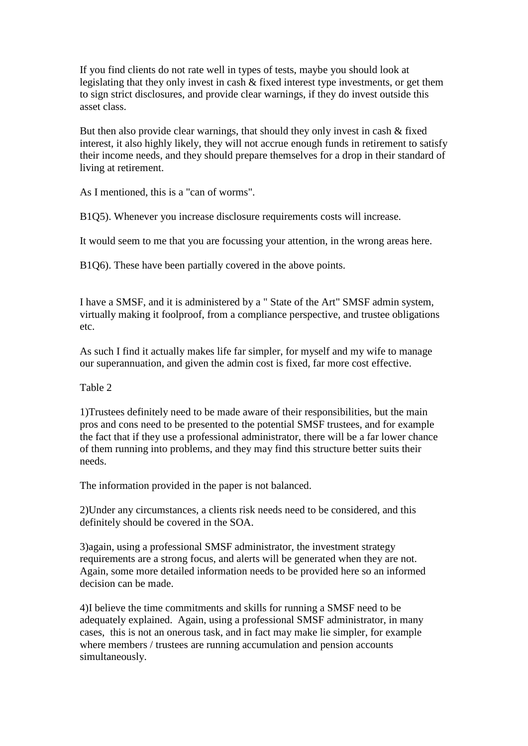If you find clients do not rate well in types of tests, maybe you should look at legislating that they only invest in cash & fixed interest type investments, or get them to sign strict disclosures, and provide clear warnings, if they do invest outside this asset class.

But then also provide clear warnings, that should they only invest in cash & fixed interest, it also highly likely, they will not accrue enough funds in retirement to satisfy their income needs, and they should prepare themselves for a drop in their standard of living at retirement.

As I mentioned, this is a "can of worms".

B1Q5). Whenever you increase disclosure requirements costs will increase.

It would seem to me that you are focussing your attention, in the wrong areas here.

B1Q6). These have been partially covered in the above points.

I have a SMSF, and it is administered by a " State of the Art" SMSF admin system, virtually making it foolproof, from a compliance perspective, and trustee obligations etc.

As such I find it actually makes life far simpler, for myself and my wife to manage our superannuation, and given the admin cost is fixed, far more cost effective.

Table 2

1)Trustees definitely need to be made aware of their responsibilities, but the main pros and cons need to be presented to the potential SMSF trustees, and for example the fact that if they use a professional administrator, there will be a far lower chance of them running into problems, and they may find this structure better suits their needs.

The information provided in the paper is not balanced.

2)Under any circumstances, a clients risk needs need to be considered, and this definitely should be covered in the SOA.

3)again, using a professional SMSF administrator, the investment strategy requirements are a strong focus, and alerts will be generated when they are not. Again, some more detailed information needs to be provided here so an informed decision can be made.

4)I believe the time commitments and skills for running a SMSF need to be adequately explained. Again, using a professional SMSF administrator, in many cases, this is not an onerous task, and in fact may make lie simpler, for example where members / trustees are running accumulation and pension accounts simultaneously.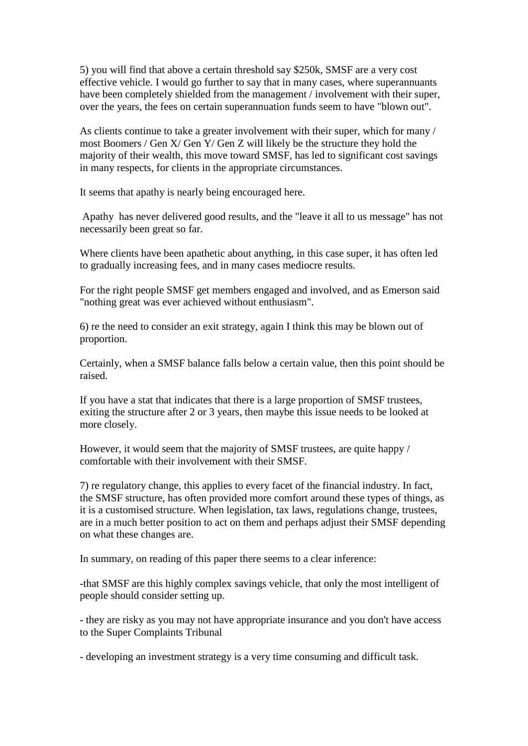5) you will find that above a certain threshold say \$250k, SMSF are a very cost effective vehicle. I would go further to say that in many cases, where superannuants have been completely shielded from the management / involvement with their super, over the years, the fees on certain superannuation funds seem to have "blown out".

As clients continue to take a greater involvement with their super, which for many / most Boomers / Gen X/ Gen Y/ Gen Z will likely be the structure they hold the majority of their wealth, this move toward SMSF, has led to significant cost savings in many respects, for clients in the appropriate circumstances.

It seems that apathy is nearly being encouraged here.

Apathy has never delivered good results, and the "leave it all to us message" has not necessarily been great so far.

Where clients have been apathetic about anything, in this case super, it has often led to gradually increasing fees, and in many cases mediocre results.

For the right people SMSF get members engaged and involved, and as Emerson said "nothing great was ever achieved without enthusiasm".

6) re the need to consider an exit strategy, again I think this may be blown out of proportion.

Certainly, when a SMSF balance falls below a certain value, then this point should be raised.

If you have a stat that indicates that there is a large proportion of SMSF trustees, exiting the structure after 2 or 3 years, then maybe this issue needs to be looked at more closely.

However, it would seem that the majority of SMSF trustees, are quite happy / comfortable with their involvement with their SMSF.

7) re regulatory change, this applies to every facet of the financial industry. In fact, the SMSF structure, has often provided more comfort around these types of things, as it is a customised structure. When legislation, tax laws, regulations change, trustees, are in a much better position to act on them and perhaps adjust their SMSF depending on what these changes are.

In summary, on reading of this paper there seems to a clear inference:

-that SMSF are this highly complex savings vehicle, that only the most intelligent of people should consider setting up.

- they are risky as you may not have appropriate insurance and you don't have access to the Super Complaints Tribunal

- developing an investment strategy is a very time consuming and difficult task.